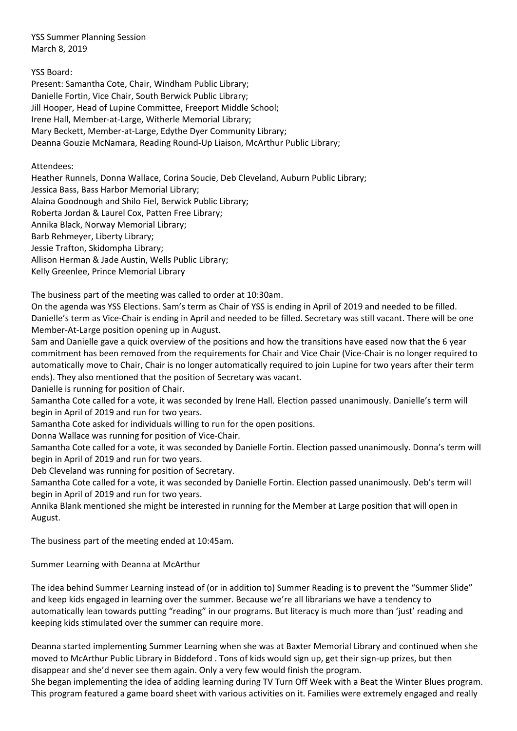YSS Summer Planning Session March 8, 2019

YSS Board:

Present: Samantha Cote, Chair, Windham Public Library; Danielle Fortin, Vice Chair, South Berwick Public Library; Jill Hooper, Head of Lupine Committee, Freeport Middle School; Irene Hall, Member-at-Large, Witherle Memorial Library; Mary Beckett, Member-at-Large, Edythe Dyer Community Library; Deanna Gouzie McNamara, Reading Round-Up Liaison, McArthur Public Library;

Attendees:

Heather Runnels, Donna Wallace, Corina Soucie, Deb Cleveland, Auburn Public Library;

Jessica Bass, Bass Harbor Memorial Library;

Alaina Goodnough and Shilo Fiel, Berwick Public Library;

Roberta Jordan & Laurel Cox, Patten Free Library;

Annika Black, Norway Memorial Library;

Barb Rehmeyer, Liberty Library;

Jessie Trafton, Skidompha Library;

Allison Herman & Jade Austin, Wells Public Library;

Kelly Greenlee, Prince Memorial Library

The business part of the meeting was called to order at 10:30am.

On the agenda was YSS Elections. Sam's term as Chair of YSS is ending in April of 2019 and needed to be filled. Danielle's term as Vice-Chair is ending in April and needed to be filled. Secretary was still vacant. There will be one Member-At-Large position opening up in August.

Sam and Danielle gave a quick overview of the positions and how the transitions have eased now that the 6 year commitment has been removed from the requirements for Chair and Vice Chair (Vice-Chair is no longer required to automatically move to Chair, Chair is no longer automatically required to join Lupine for two years after their term ends). They also mentioned that the position of Secretary was vacant.

Danielle is running for position of Chair.

Samantha Cote called for a vote, it was seconded by Irene Hall. Election passed unanimously. Danielle's term will begin in April of 2019 and run for two years.

Samantha Cote asked for individuals willing to run for the open positions.

Donna Wallace was running for position of Vice-Chair.

Samantha Cote called for a vote, it was seconded by Danielle Fortin. Election passed unanimously. Donna's term will begin in April of 2019 and run for two years.

Deb Cleveland was running for position of Secretary.

Samantha Cote called for a vote, it was seconded by Danielle Fortin. Election passed unanimously. Deb's term will begin in April of 2019 and run for two years.

Annika Blank mentioned she might be interested in running for the Member at Large position that will open in August.

The business part of the meeting ended at 10:45am.

Summer Learning with Deanna at McArthur

The idea behind Summer Learning instead of (or in addition to) Summer Reading is to prevent the "Summer Slide" and keep kids engaged in learning over the summer. Because we're all librarians we have a tendency to automatically lean towards putting "reading" in our programs. But literacy is much more than 'just' reading and keeping kids stimulated over the summer can require more.

Deanna started implementing Summer Learning when she was at Baxter Memorial Library and continued when she moved to McArthur Public Library in Biddeford . Tons of kids would sign up, get their sign-up prizes, but then disappear and she'd never see them again. Only a very few would finish the program.

She began implementing the idea of adding learning during TV Turn Off Week with a Beat the Winter Blues program. This program featured a game board sheet with various activities on it. Families were extremely engaged and really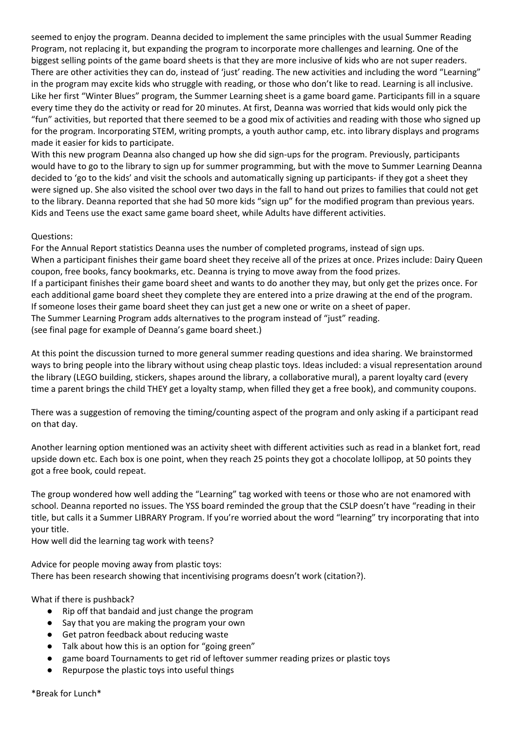seemed to enjoy the program. Deanna decided to implement the same principles with the usual Summer Reading Program, not replacing it, but expanding the program to incorporate more challenges and learning. One of the biggest selling points of the game board sheets is that they are more inclusive of kids who are not super readers. There are other activities they can do, instead of 'just' reading. The new activities and including the word "Learning" in the program may excite kids who struggle with reading, or those who don't like to read. Learning is all inclusive. Like her first "Winter Blues" program, the Summer Learning sheet is a game board game. Participants fill in a square every time they do the activity or read for 20 minutes. At first, Deanna was worried that kids would only pick the "fun" activities, but reported that there seemed to be a good mix of activities and reading with those who signed up for the program. Incorporating STEM, writing prompts, a youth author camp, etc. into library displays and programs made it easier for kids to participate.

With this new program Deanna also changed up how she did sign-ups for the program. Previously, participants would have to go to the library to sign up for summer programming, but with the move to Summer Learning Deanna decided to 'go to the kids' and visit the schools and automatically signing up participants- if they got a sheet they were signed up. She also visited the school over two days in the fall to hand out prizes to families that could not get to the library. Deanna reported that she had 50 more kids "sign up" for the modified program than previous years. Kids and Teens use the exact same game board sheet, while Adults have different activities.

## Questions:

For the Annual Report statistics Deanna uses the number of completed programs, instead of sign ups. When a participant finishes their game board sheet they receive all of the prizes at once. Prizes include: Dairy Queen coupon, free books, fancy bookmarks, etc. Deanna is trying to move away from the food prizes. If a participant finishes their game board sheet and wants to do another they may, but only get the prizes once. For each additional game board sheet they complete they are entered into a prize drawing at the end of the program. If someone loses their game board sheet they can just get a new one or write on a sheet of paper. The Summer Learning Program adds alternatives to the program instead of "just" reading. (see final page for example of Deanna's game board sheet.)

At this point the discussion turned to more general summer reading questions and idea sharing. We brainstormed ways to bring people into the library without using cheap plastic toys. Ideas included: a visual representation around the library (LEGO building, stickers, shapes around the library, a collaborative mural), a parent loyalty card (every time a parent brings the child THEY get a loyalty stamp, when filled they get a free book), and community coupons.

There was a suggestion of removing the timing/counting aspect of the program and only asking if a participant read on that day.

Another learning option mentioned was an activity sheet with different activities such as read in a blanket fort, read upside down etc. Each box is one point, when they reach 25 points they got a chocolate lollipop, at 50 points they got a free book, could repeat.

The group wondered how well adding the "Learning" tag worked with teens or those who are not enamored with school. Deanna reported no issues. The YSS board reminded the group that the CSLP doesn't have "reading in their title, but calls it a Summer LIBRARY Program. If you're worried about the word "learning" try incorporating that into your title.

How well did the learning tag work with teens?

Advice for people moving away from plastic toys: There has been research showing that incentivising programs doesn't work (citation?).

What if there is pushback?

- Rip off that bandaid and just change the program
- Say that you are making the program your own
- Get patron feedback about reducing waste
- Talk about how this is an option for "going green"
- game board Tournaments to get rid of leftover summer reading prizes or plastic toys
- Repurpose the plastic toys into useful things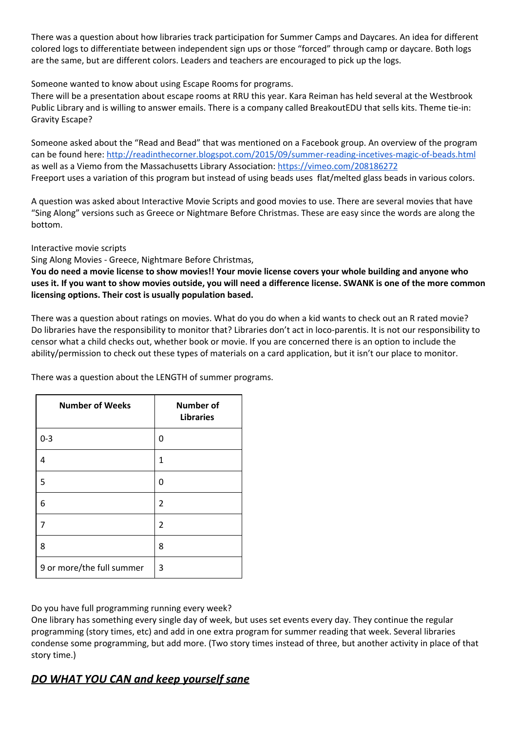There was a question about how libraries track participation for Summer Camps and Daycares. An idea for different colored logs to differentiate between independent sign ups or those "forced" through camp or daycare. Both logs are the same, but are different colors. Leaders and teachers are encouraged to pick up the logs.

Someone wanted to know about using Escape Rooms for programs.

There will be a presentation about escape rooms at RRU this year. Kara Reiman has held several at the Westbrook Public Library and is willing to answer emails. There is a company called BreakoutEDU that sells kits. Theme tie-in: Gravity Escape?

Someone asked about the "Read and Bead" that was mentioned on a Facebook group. An overview of the program can be found here: <http://readinthecorner.blogspot.com/2015/09/summer-reading-incetives-magic-of-beads.html> as well as a Viemo from the Massachusetts Library Association: <https://vimeo.com/208186272> Freeport uses a variation of this program but instead of using beads uses flat/melted glass beads in various colors.

A question was asked about Interactive Movie Scripts and good movies to use. There are several movies that have "Sing Along" versions such as Greece or Nightmare Before Christmas. These are easy since the words are along the bottom.

Interactive movie scripts

Sing Along Movies - Greece, Nightmare Before Christmas,

You do need a movie license to show movies!! Your movie license covers your whole building and anyone who uses it. If you want to show movies outside, you will need a difference license. SWANK is one of the more common **licensing options. Their cost is usually population based.**

There was a question about ratings on movies. What do you do when a kid wants to check out an R rated movie? Do libraries have the responsibility to monitor that? Libraries don't act in loco-parentis. It is not our responsibility to censor what a child checks out, whether book or movie. If you are concerned there is an option to include the ability/permission to check out these types of materials on a card application, but it isn't our place to monitor.

There was a question about the LENGTH of summer programs.

| <b>Number of Weeks</b>    | <b>Number of</b><br><b>Libraries</b> |
|---------------------------|--------------------------------------|
| $0 - 3$                   | 0                                    |
| 4                         | 1                                    |
| 5                         | 0                                    |
| 6                         | $\overline{2}$                       |
|                           | 2                                    |
| 8                         | 8                                    |
| 9 or more/the full summer | 3                                    |

Do you have full programming running every week?

One library has something every single day of week, but uses set events every day. They continue the regular programming (story times, etc) and add in one extra program for summer reading that week. Several libraries condense some programming, but add more. (Two story times instead of three, but another activity in place of that story time.)

## *DO WHAT YOU CAN and keep yourself sane*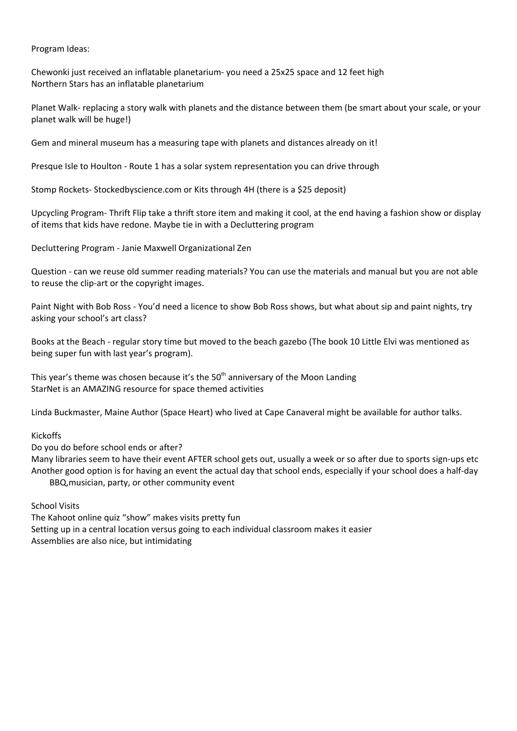Program Ideas:

Chewonki just received an inflatable planetarium- you need a 25x25 space and 12 feet high Northern Stars has an inflatable planetarium

Planet Walk- replacing a story walk with planets and the distance between them (be smart about your scale, or your planet walk will be huge!)

Gem and mineral museum has a measuring tape with planets and distances already on it!

Presque Isle to Houlton - Route 1 has a solar system representation you can drive through

Stomp Rockets- Stockedbyscience.com or Kits through 4H (there is a \$25 deposit)

Upcycling Program- Thrift Flip take a thrift store item and making it cool, at the end having a fashion show or display of items that kids have redone. Maybe tie in with a Decluttering program

Decluttering Program - Janie Maxwell Organizational Zen

Question - can we reuse old summer reading materials? You can use the materials and manual but you are not able to reuse the clip-art or the copyright images.

Paint Night with Bob Ross - You'd need a licence to show Bob Ross shows, but what about sip and paint nights, try asking your school's art class?

Books at the Beach - regular story time but moved to the beach gazebo (The book 10 Little Elvi was mentioned as being super fun with last year's program).

This year's theme was chosen because it's the 50<sup>th</sup> anniversary of the Moon Landing StarNet is an AMAZING resource for space themed activities

Linda Buckmaster, Maine Author (Space Heart) who lived at Cape Canaveral might be available for author talks.

Kickoffs

Do you do before school ends or after?

Many libraries seem to have their event AFTER school gets out, usually a week or so after due to sports sign-ups etc Another good option is for having an event the actual day that school ends, especially if your school does a half-day BBQ,musician, party, or other community event

School Visits

The Kahoot online quiz "show" makes visits pretty fun Setting up in a central location versus going to each individual classroom makes it easier Assemblies are also nice, but intimidating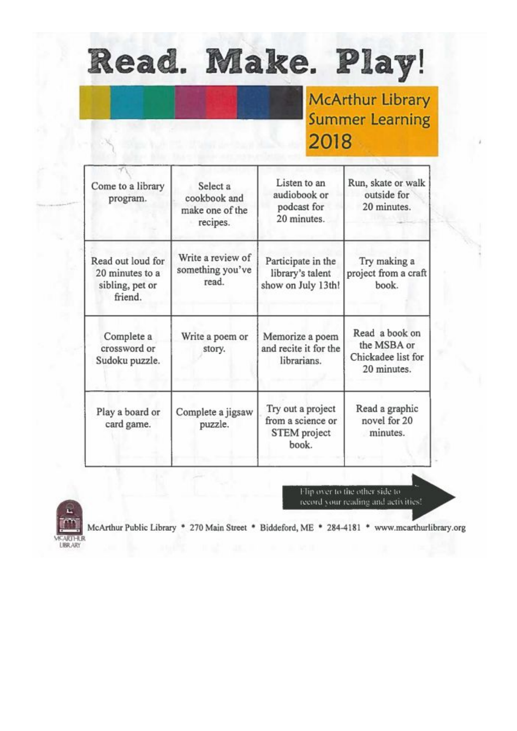## Read. Make. Play!

**McArthur Library Summer Learning** 2018

| Come to a library<br>program.                                      | Select a<br>cookbook and<br>make one of the<br>recipes. | Listen to an<br>audiobook or<br>podcast for<br>20 minutes.      | Run, skate or walk<br>outside for<br>20 minutes.                   |
|--------------------------------------------------------------------|---------------------------------------------------------|-----------------------------------------------------------------|--------------------------------------------------------------------|
| Read out loud for<br>20 minutes to a<br>sibling, pet or<br>friend. | Write a review of<br>something you've<br>read.          | Participate in the<br>library's talent<br>show on July 13th!    | Try making a<br>project from a craft<br>book.                      |
| Complete a<br>crossword or<br>Sudoku puzzle.                       | Write a poem or<br>story.                               | Memorize a poem<br>and recite it for the<br>librarians.         | Read a book on<br>the MSBA or<br>Chickadee list for<br>20 minutes. |
| Play a board or<br>card game.                                      | Complete a jigsaw<br>puzzle.                            | Try out a project<br>from a science or<br>STEM project<br>book. | Read a graphic<br>novel for 20<br>minutes.                         |

Flip over to the other side to record your reading and activities!



McArthur Public Library \* 270 Main Street \* Biddeford, ME \* 284-4181 \* www.mcarthurlibrary.org